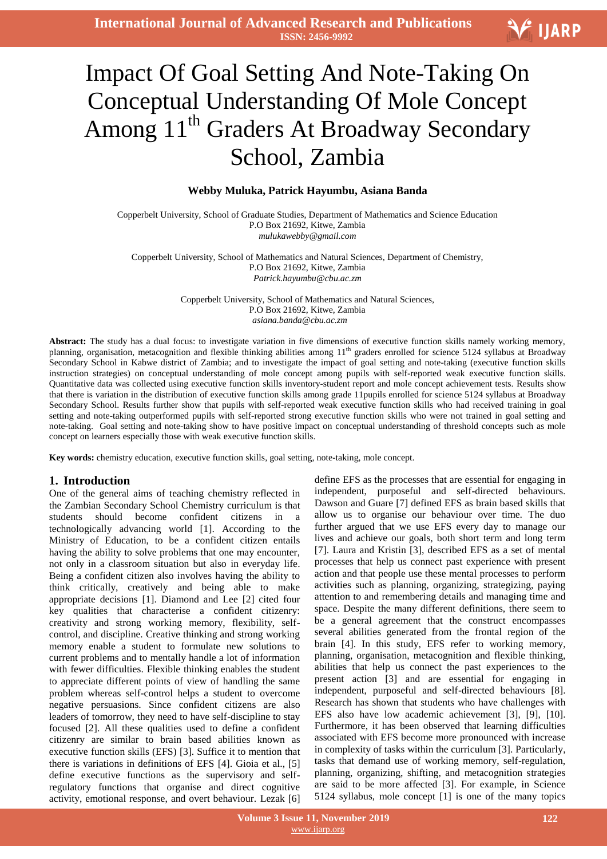**International Journal of Advanced Research and Publications ISSN: 2456-9992**

# $\overline{a}$ Impact Of Goal Setting And Note-Taking On Conceptual Understanding Of Mole Concept Among 11<sup>th</sup> Graders At Broadway Secondary School, Zambia

# **Webby Muluka, Patrick Hayumbu, Asiana Banda**

Copperbelt University, School of Graduate Studies, Department of Mathematics and Science Education P.O Box 21692, Kitwe, Zambia *mulukawebby@gmail.com*

Copperbelt University, School of Mathematics and Natural Sciences, Department of Chemistry, P.O Box 21692, Kitwe, Zambia *Patrick.hayumbu@cbu.ac.zm*

> Copperbelt University, School of Mathematics and Natural Sciences, P.O Box 21692, Kitwe, Zambia *asiana.banda@cbu.ac.zm*

**Abstract:** The study has a dual focus: to investigate variation in five dimensions of executive function skills namely working memory, planning, organisation, metacognition and flexible thinking abilities among  $11<sup>th</sup>$  graders enrolled for science 5124 syllabus at Broadway Secondary School in Kabwe district of Zambia; and to investigate the impact of goal setting and note-taking (executive function skills instruction strategies) on conceptual understanding of mole concept among pupils with self-reported weak executive function skills. Quantitative data was collected using executive function skills inventory-student report and mole concept achievement tests. Results show that there is variation in the distribution of executive function skills among grade 11pupils enrolled for science 5124 syllabus at Broadway Secondary School. Results further show that pupils with self-reported weak executive function skills who had received training in goal setting and note-taking outperformed pupils with self-reported strong executive function skills who were not trained in goal setting and note-taking. Goal setting and note-taking show to have positive impact on conceptual understanding of threshold concepts such as mole concept on learners especially those with weak executive function skills.

**Key words:** chemistry education, executive function skills, goal setting, note-taking, mole concept.

#### **1. Introduction**

One of the general aims of teaching chemistry reflected in the Zambian Secondary School Chemistry curriculum is that students should become confident citizens in a technologically advancing world [1]. According to the Ministry of Education, to be a confident citizen entails having the ability to solve problems that one may encounter, not only in a classroom situation but also in everyday life. Being a confident citizen also involves having the ability to think critically, creatively and being able to make appropriate decisions [1]. Diamond and Lee [2] cited four key qualities that characterise a confident citizenry: creativity and strong working memory, flexibility, selfcontrol, and discipline. Creative thinking and strong working memory enable a student to formulate new solutions to current problems and to mentally handle a lot of information with fewer difficulties. Flexible thinking enables the student to appreciate different points of view of handling the same problem whereas self-control helps a student to overcome negative persuasions. Since confident citizens are also leaders of tomorrow, they need to have self-discipline to stay focused [2]. All these qualities used to define a confident citizenry are similar to brain based abilities known as executive function skills (EFS) [3]. Suffice it to mention that there is variations in definitions of EFS [4]. Gioia et al., [5] define executive functions as the supervisory and selfregulatory functions that organise and direct cognitive activity, emotional response, and overt behaviour. Lezak [6]

define EFS as the processes that are essential for engaging in independent, purposeful and self-directed behaviours. Dawson and Guare [7] defined EFS as brain based skills that allow us to organise our behaviour over time. The duo further argued that we use EFS every day to manage our lives and achieve our goals, both short term and long term [7]. Laura and Kristin [3], described EFS as a set of mental processes that help us connect past experience with present action and that people use these mental processes to perform activities such as planning, organizing, strategizing, paying attention to and remembering details and managing time and space. Despite the many different definitions, there seem to be a general agreement that the construct encompasses several abilities generated from the frontal region of the brain [4]. In this study, EFS refer to working memory, planning, organisation, metacognition and flexible thinking, abilities that help us connect the past experiences to the present action [3] and are essential for engaging in independent, purposeful and self-directed behaviours [8]. Research has shown that students who have challenges with EFS also have low academic achievement [3], [9], [10]. Furthermore, it has been observed that learning difficulties associated with EFS become more pronounced with increase in complexity of tasks within the curriculum [3]. Particularly, tasks that demand use of working memory, self-regulation, planning, organizing, shifting, and metacognition strategies are said to be more affected [3]. For example, in Science 5124 syllabus, mole concept [1] is one of the many topics

V IJARP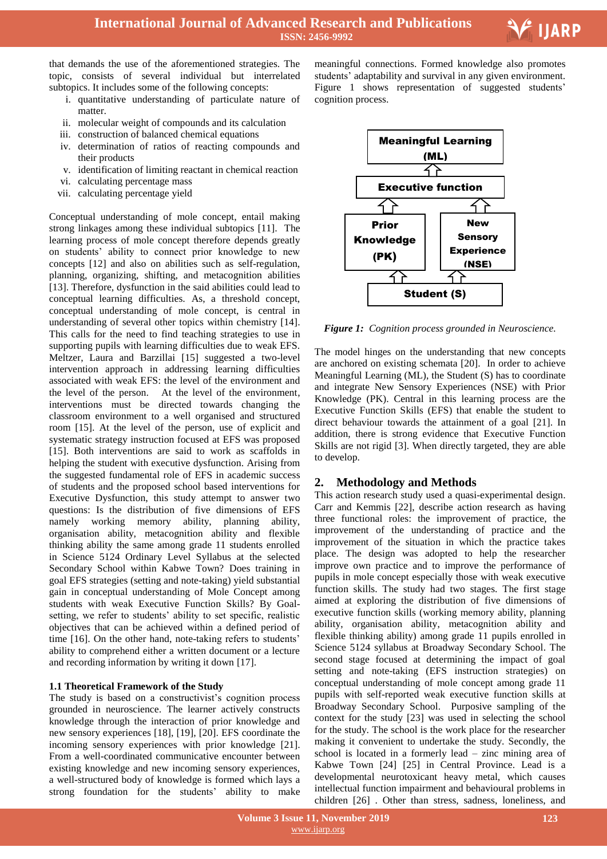

that demands the use of the aforementioned strategies. The topic, consists of several individual but interrelated subtopics. It includes some of the following concepts:

- i. quantitative understanding of particulate nature of matter.
- ii. molecular weight of compounds and its calculation
- iii. construction of balanced chemical equations
- iv. determination of ratios of reacting compounds and their products
- v. identification of limiting reactant in chemical reaction
- vi. calculating percentage mass
- vii. calculating percentage yield

Conceptual understanding of mole concept, entail making strong linkages among these individual subtopics [11]. The learning process of mole concept therefore depends greatly on students" ability to connect prior knowledge to new concepts [12] and also on abilities such as self-regulation, planning, organizing, shifting, and metacognition abilities [13]. Therefore, dysfunction in the said abilities could lead to conceptual learning difficulties. As, a threshold concept, conceptual understanding of mole concept, is central in understanding of several other topics within chemistry [14]. This calls for the need to find teaching strategies to use in supporting pupils with learning difficulties due to weak EFS. Meltzer, Laura and Barzillai [15] suggested a two-level intervention approach in addressing learning difficulties associated with weak EFS: the level of the environment and the level of the person. At the level of the environment, interventions must be directed towards changing the classroom environment to a well organised and structured room [15]. At the level of the person, use of explicit and systematic strategy instruction focused at EFS was proposed [15]. Both interventions are said to work as scaffolds in helping the student with executive dysfunction. Arising from the suggested fundamental role of EFS in academic success of students and the proposed school based interventions for Executive Dysfunction, this study attempt to answer two questions: Is the distribution of five dimensions of EFS namely working memory ability, planning ability, organisation ability, metacognition ability and flexible thinking ability the same among grade 11 students enrolled in Science 5124 Ordinary Level Syllabus at the selected Secondary School within Kabwe Town? Does training in goal EFS strategies (setting and note-taking) yield substantial gain in conceptual understanding of Mole Concept among students with weak Executive Function Skills? By Goalsetting, we refer to students' ability to set specific, realistic objectives that can be achieved within a defined period of time [16]. On the other hand, note-taking refers to students' ability to comprehend either a written document or a lecture and recording information by writing it down [17].

# **1.1 Theoretical Framework of the Study**

The study is based on a constructivist's cognition process grounded in neuroscience. The learner actively constructs knowledge through the interaction of prior knowledge and new sensory experiences [18], [19], [20]. EFS coordinate the incoming sensory experiences with prior knowledge [21]. From a well-coordinated communicative encounter between existing knowledge and new incoming sensory experiences, a well-structured body of knowledge is formed which lays a strong foundation for the students' ability to make

 meaningful connections. Formed knowledge also promotes students" adaptability and survival in any given environment. Figure 1 shows representation of suggested students' cognition process.



*Figure 1: Cognition process grounded in Neuroscience.*

The model hinges on the understanding that new concepts are anchored on existing schemata [20]. In order to achieve Meaningful Learning (ML), the Student (S) has to coordinate and integrate New Sensory Experiences (NSE) with Prior Knowledge (PK). Central in this learning process are the Executive Function Skills (EFS) that enable the student to direct behaviour towards the attainment of a goal [21]. In addition, there is strong evidence that Executive Function Skills are not rigid [3]. When directly targeted, they are able to develop.

# **2. Methodology and Methods**

This action research study used a quasi-experimental design. Carr and Kemmis [22], describe action research as having three functional roles: the improvement of practice, the improvement of the understanding of practice and the improvement of the situation in which the practice takes place. The design was adopted to help the researcher improve own practice and to improve the performance of pupils in mole concept especially those with weak executive function skills. The study had two stages. The first stage aimed at exploring the distribution of five dimensions of executive function skills (working memory ability, planning ability, organisation ability, metacognition ability and flexible thinking ability) among grade 11 pupils enrolled in Science 5124 syllabus at Broadway Secondary School. The second stage focused at determining the impact of goal setting and note-taking (EFS instruction strategies) on conceptual understanding of mole concept among grade 11 pupils with self-reported weak executive function skills at Broadway Secondary School. Purposive sampling of the context for the study [23] was used in selecting the school for the study. The school is the work place for the researcher making it convenient to undertake the study. Secondly, the school is located in a formerly lead – zinc mining area of Kabwe Town [24] [25] in Central Province. Lead is a developmental neurotoxicant heavy metal, which causes intellectual function impairment and behavioural problems in children [26] . Other than stress, sadness, loneliness, and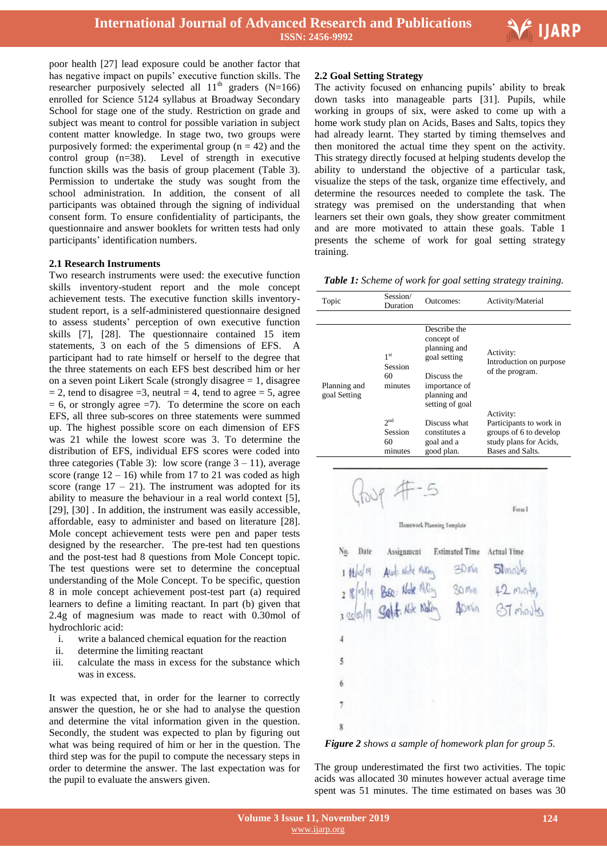

poor health [27] lead exposure could be another factor that has negative impact on pupils' executive function skills. The researcher purposively selected all  $11<sup>th</sup>$  graders (N=166) enrolled for Science 5124 syllabus at Broadway Secondary School for stage one of the study. Restriction on grade and subject was meant to control for possible variation in subject content matter knowledge. In stage two, two groups were purposively formed: the experimental group  $(n = 42)$  and the control group (n=38). Level of strength in executive function skills was the basis of group placement (Table 3). Permission to undertake the study was sought from the school administration. In addition, the consent of all participants was obtained through the signing of individual consent form. To ensure confidentiality of participants, the questionnaire and answer booklets for written tests had only participants' identification numbers.

### **2.1 Research Instruments**

Two research instruments were used: the executive function skills inventory-student report and the mole concept achievement tests. The executive function skills inventorystudent report, is a self-administered questionnaire designed to assess students" perception of own executive function skills [7], [28]. The questionnaire contained 15 item statements, 3 on each of the 5 dimensions of EFS. A participant had to rate himself or herself to the degree that the three statements on each EFS best described him or her on a seven point Likert Scale (strongly disagree = 1, disagree  $= 2$ , tend to disagree  $= 3$ , neutral  $= 4$ , tend to agree  $= 5$ , agree  $= 6$ , or strongly agree  $= 7$ ). To determine the score on each EFS, all three sub-scores on three statements were summed up. The highest possible score on each dimension of EFS was 21 while the lowest score was 3. To determine the distribution of EFS, individual EFS scores were coded into three categories (Table 3): low score (range  $3 - 11$ ), average score (range  $12 - 16$ ) while from 17 to 21 was coded as high score (range  $17 - 21$ ). The instrument was adopted for its ability to measure the behaviour in a real world context [5], [29], [30]. In addition, the instrument was easily accessible, affordable, easy to administer and based on literature [28]. Mole concept achievement tests were pen and paper tests designed by the researcher. The pre-test had ten questions and the post-test had 8 questions from Mole Concept topic. The test questions were set to determine the conceptual understanding of the Mole Concept. To be specific, question 8 in mole concept achievement post-test part (a) required learners to define a limiting reactant. In part (b) given that 2.4g of magnesium was made to react with 0.30mol of hydrochloric acid:

- i. write a balanced chemical equation for the reaction
- ii. determine the limiting reactant
- iii. calculate the mass in excess for the substance which was in excess.

It was expected that, in order for the learner to correctly answer the question, he or she had to analyse the question and determine the vital information given in the question. Secondly, the student was expected to plan by figuring out what was being required of him or her in the question. The third step was for the pupil to compute the necessary steps in order to determine the answer. The last expectation was for the pupil to evaluate the answers given.

#### **2.2 Goal Setting Strategy**

The activity focused on enhancing pupils' ability to break down tasks into manageable parts [31]. Pupils, while working in groups of six, were asked to come up with a home work study plan on Acids, Bases and Salts, topics they had already learnt. They started by timing themselves and then monitored the actual time they spent on the activity. This strategy directly focused at helping students develop the ability to understand the objective of a particular task, visualize the steps of the task, organize time effectively, and determine the resources needed to complete the task. The strategy was premised on the understanding that when learners set their own goals, they show greater commitment and are more motivated to attain these goals. Table 1 presents the scheme of work for goal setting strategy training.

*Table 1: Scheme of work for goal setting strategy training.*

| Topic                        | Session/<br>Outcomes:<br>Duration           |                                                                                                                               | Activity/Material                                                                                            |  |  |
|------------------------------|---------------------------------------------|-------------------------------------------------------------------------------------------------------------------------------|--------------------------------------------------------------------------------------------------------------|--|--|
|                              |                                             |                                                                                                                               |                                                                                                              |  |  |
| Planning and<br>goal Setting | 1 <sup>st</sup><br>Session<br>60<br>minutes | Describe the<br>concept of<br>planning and<br>goal setting<br>Discuss the<br>importance of<br>planning and<br>setting of goal | Activity:<br>Introduction on purpose<br>of the program.                                                      |  |  |
|                              | 2 <sup>nd</sup><br>Session<br>60<br>minutes | Discuss what<br>constitutes a<br>goal and a<br>good plan.                                                                     | Activity:<br>Participants to work in<br>groups of 6 to develop<br>study plans for Acids,<br>Bases and Salts. |  |  |



*Figure 2 shows a sample of homework plan for group 5.*

The group underestimated the first two activities. The topic acids was allocated 30 minutes however actual average time spent was 51 minutes. The time estimated on bases was 30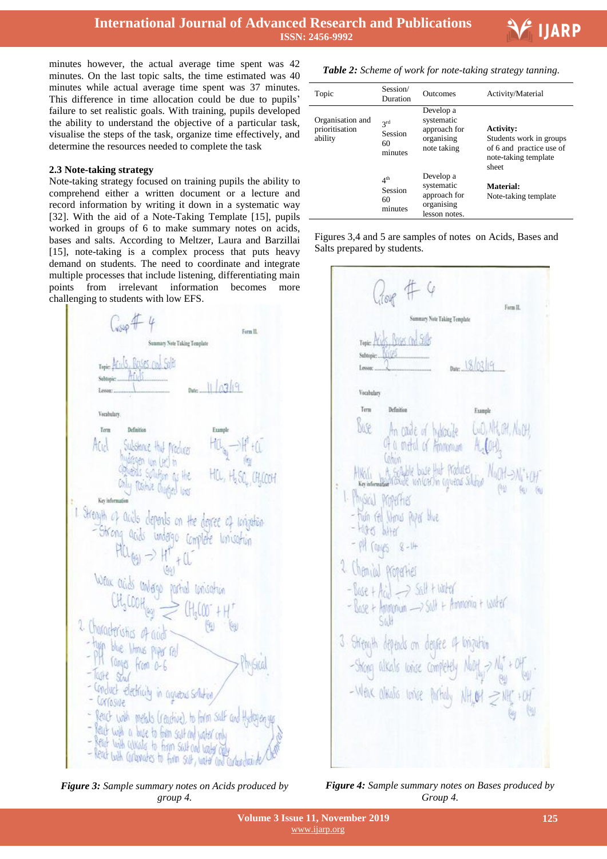

minutes however, the actual average time spent was 42 minutes. On the last topic salts, the time estimated was 40 minutes while actual average time spent was 37 minutes. This difference in time allocation could be due to pupils' failure to set realistic goals. With training, pupils developed the ability to understand the objective of a particular task, visualise the steps of the task, organize time effectively, and determine the resources needed to complete the task

#### **2.3 Note-taking strategy**

Note-taking strategy focused on training pupils the ability to comprehend either a written document or a lecture and record information by writing it down in a systematic way [32]. With the aid of a Note-Taking Template [15], pupils worked in groups of 6 to make summary notes on acids, bases and salts. According to Meltzer, Laura and Barzillai [15], note-taking is a complex process that puts heavy demand on students. The need to coordinate and integrate multiple processes that include listening, differentiating main points from irrelevant information becomes more challenging to students with low EFS.

Form II. Summary Note Taking Template Ints. Roses and Salt  $|||q|$ Versledery Term Atul **Options** Sphiltips HCL, H.SV CHOOK Chly Positive Chapters love Key infor 1 Strength of acids depends on the degree of conjution -Strong acids undergo complete unisotion What adds antago partial consistent 2. Characteristics of aids - type blue literies paper red - PH ranges from 0-6  $-$ Trute  $Sval$ - Conduct electricity in agreeas solution, - Corrosive - feach with metals (reactive), to form salt and Hydragon se - Reach with a base to faim salt and water only - Read with calkado to form said and water cross - Read with cultimates to firm suit, water and carbon dealers of

*Figure 3: Sample summary notes on Acids produced by group 4.*

| Table 2: Scheme of work for note-taking strategy tanning. |  |  |
|-----------------------------------------------------------|--|--|
|                                                           |  |  |

| Topic                                         | Session/<br>Duration                        | Outcomes                                                               | Activity/Material                                                                                        |  |
|-----------------------------------------------|---------------------------------------------|------------------------------------------------------------------------|----------------------------------------------------------------------------------------------------------|--|
| Organisation and<br>prioritisation<br>ability | 2rd<br>Session<br>60<br>minutes             | Develop a<br>systematic<br>approach for<br>organising<br>note taking   | <b>Activity:</b><br>Students work in groups<br>of 6 and practice use of<br>note-taking template<br>sheet |  |
|                                               | 4 <sup>th</sup><br>Session<br>60<br>minutes | Develop a<br>systematic<br>approach for<br>organising<br>lesson notes. | Material:<br>Note-taking template                                                                        |  |

Form II smary Note Takine Template  $18/02/9$ Vecabelan Term Befinitio Franch WO, NH, OH, NO OH **MP** In made of hydrode of a metal of American ALCOH A Scalate buse that Produces<br>Whoshoe unicersin covered subject  $f(x) = f(x)$ **MASICAL POPPETHES** huin fel Winnis Plue blue - Harry Wher PH TODIES Chanical properties  $-$  Base + Acid  $\implies$  Salt + water - Base + Angenum - > Salt + Ammonia + Water 3. Strength depends on degree of longuities -Strong alkals whise completely North -> Na<sup>+</sup> + Of - Wenk almatis longe partialy NH<sub>4</sub>01 = NH<sub>4</sub> + OH

*Figure 4: Sample summary notes on Bases produced by Group 4.*

lesson notes.

Figures 3,4 and 5 are samples of notes on Acids, Bases and

Salts prepared by students.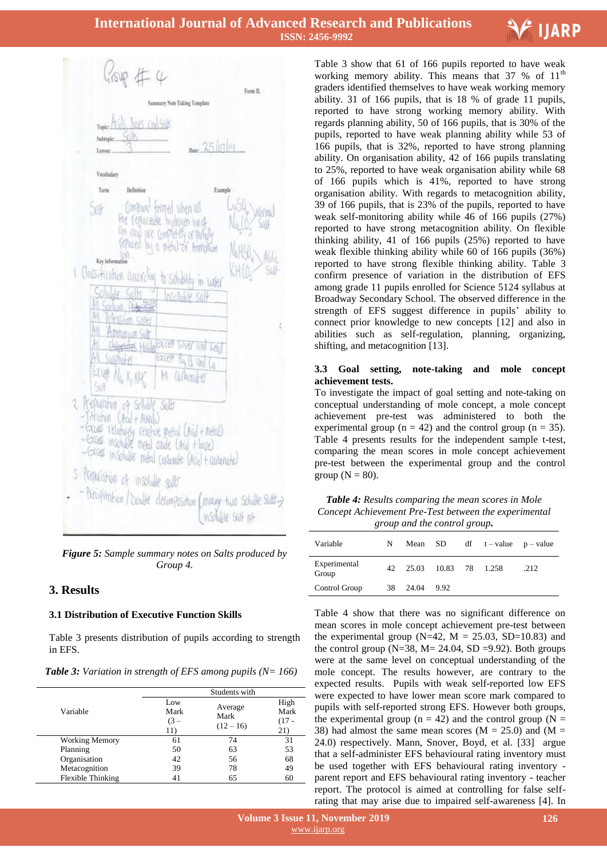



*Figure 5: Sample summary notes on Salts produced by Group 4.*

# **3. Results**

# **3.1 Distribution of Executive Function Skills**

Table 3 presents distribution of pupils according to strength in EFS.

| <b>Table 3:</b> Variation in strength of EFS among pupils ( $N = 166$ ) |  |  |  |
|-------------------------------------------------------------------------|--|--|--|
|-------------------------------------------------------------------------|--|--|--|

|                       | Students with                |                                |                              |  |  |  |
|-----------------------|------------------------------|--------------------------------|------------------------------|--|--|--|
| Variable              | Low<br>Mark<br>$(3 -$<br>11) | Average<br>Mark<br>$(12 - 16)$ | High<br>Mark<br>(17 -<br>21) |  |  |  |
| <b>Working Memory</b> | 61                           | 74                             | 31                           |  |  |  |
| Planning              | 50                           | 63                             | 53                           |  |  |  |
| Organisation          | 42                           | 56                             | 68                           |  |  |  |
| Metacognition         | 39                           | 78                             | 49                           |  |  |  |
| Flexible Thinking     | 41                           | 65                             | 60                           |  |  |  |

 Table 3 show that 61 of 166 pupils reported to have weak working memory ability. This means that  $37 \%$  of  $11<sup>th</sup>$ graders identified themselves to have weak working memory ability. 31 of 166 pupils, that is 18 % of grade 11 pupils, reported to have strong working memory ability. With regards planning ability, 50 of 166 pupils, that is 30% of the pupils, reported to have weak planning ability while 53 of 166 pupils, that is 32%, reported to have strong planning ability. On organisation ability, 42 of 166 pupils translating to 25%, reported to have weak organisation ability while 68 of 166 pupils which is 41%, reported to have strong organisation ability. With regards to metacognition ability, 39 of 166 pupils, that is 23% of the pupils, reported to have weak self-monitoring ability while 46 of 166 pupils (27%) reported to have strong metacognition ability. On flexible thinking ability, 41 of 166 pupils (25%) reported to have weak flexible thinking ability while 60 of 166 pupils (36%) reported to have strong flexible thinking ability. Table 3 confirm presence of variation in the distribution of EFS among grade 11 pupils enrolled for Science 5124 syllabus at Broadway Secondary School. The observed difference in the strength of EFS suggest difference in pupils' ability to connect prior knowledge to new concepts [12] and also in abilities such as self-regulation, planning, organizing, shifting, and metacognition [13].

#### **3.3 Goal setting, note-taking and mole concept achievement tests.**

To investigate the impact of goal setting and note-taking on conceptual understanding of mole concept, a mole concept achievement pre-test was administered to both the experimental group ( $n = 42$ ) and the control group ( $n = 35$ ). Table 4 presents results for the independent sample t-test, comparing the mean scores in mole concept achievement pre-test between the experimental group and the control group  $(N = 80)$ .

*Table 4: Results comparing the mean scores in Mole Concept Achievement Pre-Test between the experimental group and the control group.*

| Variable              | N |          |                         | Mean SD df $t$ – value $p$ – value |      |
|-----------------------|---|----------|-------------------------|------------------------------------|------|
| Experimental<br>Group |   |          | 42 25.03 10.83 78 1.258 |                                    | .212 |
| Control Group         |   | 38 24.04 | 9.92                    |                                    |      |

Table 4 show that there was no significant difference on mean scores in mole concept achievement pre-test between the experimental group ( $N=42$ ,  $M = 25.03$ ,  $SD=10.83$ ) and the control group ( $N=38$ ,  $M= 24.04$ ,  $SD = 9.92$ ). Both groups were at the same level on conceptual understanding of the mole concept. The results however, are contrary to the expected results. Pupils with weak self-reported low EFS were expected to have lower mean score mark compared to pupils with self-reported strong EFS. However both groups, the experimental group ( $n = 42$ ) and the control group ( $N =$ 38) had almost the same mean scores ( $M = 25.0$ ) and ( $M =$ 24.0) respectively. Mann, Snover, Boyd, et al. [33] argue that a self-administer EFS behavioural rating inventory must be used together with EFS behavioural rating inventory parent report and EFS behavioural rating inventory - teacher report. The protocol is aimed at controlling for false selfrating that may arise due to impaired self-awareness [4]. In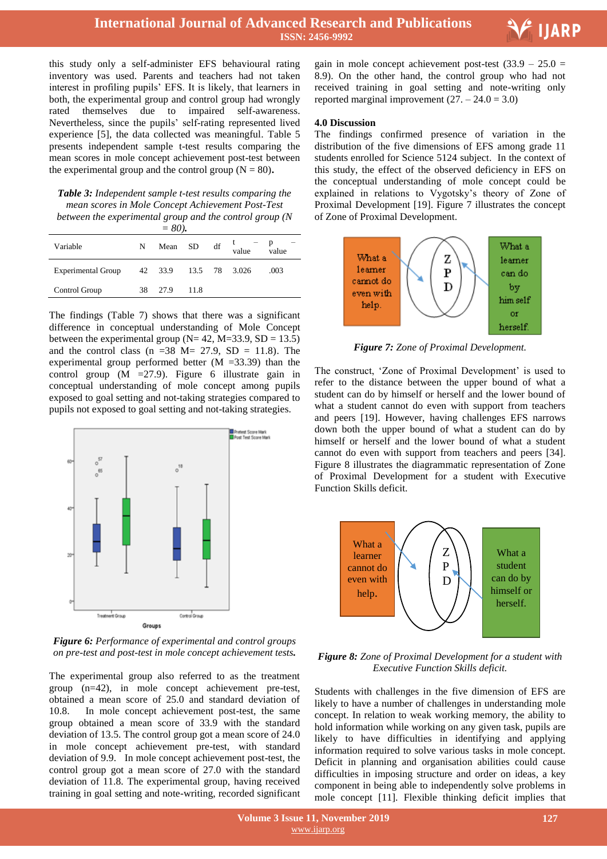E<sup>1</sup> IJARP

this study only a self-administer EFS behavioural rating inventory was used. Parents and teachers had not taken interest in profiling pupils" EFS. It is likely, that learners in both, the experimental group and control group had wrongly rated themselves due to impaired self-awareness. Nevertheless, since the pupils" self-rating represented lived experience [5], the data collected was meaningful. Table 5 presents independent sample t-test results comparing the mean scores in mole concept achievement post-test between the experimental group and the control group  $(N = 80)$ .

*Table 3: Independent sample t-test results comparing the mean scores in Mole Concept Achievement Post-Test between the experimental group and the control group (N* 

| $= 80.$                   |    |                       |            |  |            |                |  |
|---------------------------|----|-----------------------|------------|--|------------|----------------|--|
| Variable                  | N  |                       | Mean SD df |  | ι<br>value | $-$ p<br>value |  |
| <b>Experimental Group</b> |    | 42 33.9 13.5 78 3.026 |            |  |            | .003           |  |
| Control Group             | 38 | 27.9                  | 11.8       |  |            |                |  |

The findings (Table 7) shows that there was a significant difference in conceptual understanding of Mole Concept between the experimental group ( $N= 42$ ,  $M=33.9$ ,  $SD = 13.5$ ) and the control class (n =38 M= 27.9, SD = 11.8). The experimental group performed better (M =33.39) than the control group (M =27.9). Figure 6 illustrate gain in conceptual understanding of mole concept among pupils exposed to goal setting and not-taking strategies compared to pupils not exposed to goal setting and not-taking strategies.



*Figure 6: Performance of experimental and control groups on pre-test and post-test in mole concept achievement tests.*

The experimental group also referred to as the treatment group (n=42), in mole concept achievement pre-test, obtained a mean score of 25.0 and standard deviation of 10.8. In mole concept achievement post-test, the same group obtained a mean score of 33.9 with the standard deviation of 13.5. The control group got a mean score of 24.0 in mole concept achievement pre-test, with standard deviation of 9.9. In mole concept achievement post-test, the control group got a mean score of 27.0 with the standard deviation of 11.8. The experimental group, having received training in goal setting and note-writing, recorded significant

gain in mole concept achievement post-test  $(33.9 - 25.0 =$ 8.9). On the other hand, the control group who had not received training in goal setting and note-writing only reported marginal improvement  $(27. - 24.0 = 3.0)$ 

#### **4.0 Discussion**

The findings confirmed presence of variation in the distribution of the five dimensions of EFS among grade 11 students enrolled for Science 5124 subject. In the context of this study, the effect of the observed deficiency in EFS on the conceptual understanding of mole concept could be explained in relations to Vygotsky"s theory of Zone of Proximal Development [19]. Figure 7 illustrates the concept of Zone of Proximal Development.



*Figure 7: Zone of Proximal Development.*

The construct, 'Zone of Proximal Development' is used to refer to the distance between the upper bound of what a student can do by himself or herself and the lower bound of what a student cannot do even with support from teachers and peers [19]. However, having challenges EFS narrows down both the upper bound of what a student can do by himself or herself and the lower bound of what a student cannot do even with support from teachers and peers [34]. Figure 8 illustrates the diagrammatic representation of Zone of Proximal Development for a student with Executive Function Skills deficit.



*Figure 8: Zone of Proximal Development for a student with Executive Function Skills deficit.*

Students with challenges in the five dimension of EFS are likely to have a number of challenges in understanding mole concept. In relation to weak working memory, the ability to hold information while working on any given task, pupils are likely to have difficulties in identifying and applying information required to solve various tasks in mole concept. Deficit in planning and organisation abilities could cause difficulties in imposing structure and order on ideas, a key component in being able to independently solve problems in mole concept [11]. Flexible thinking deficit implies that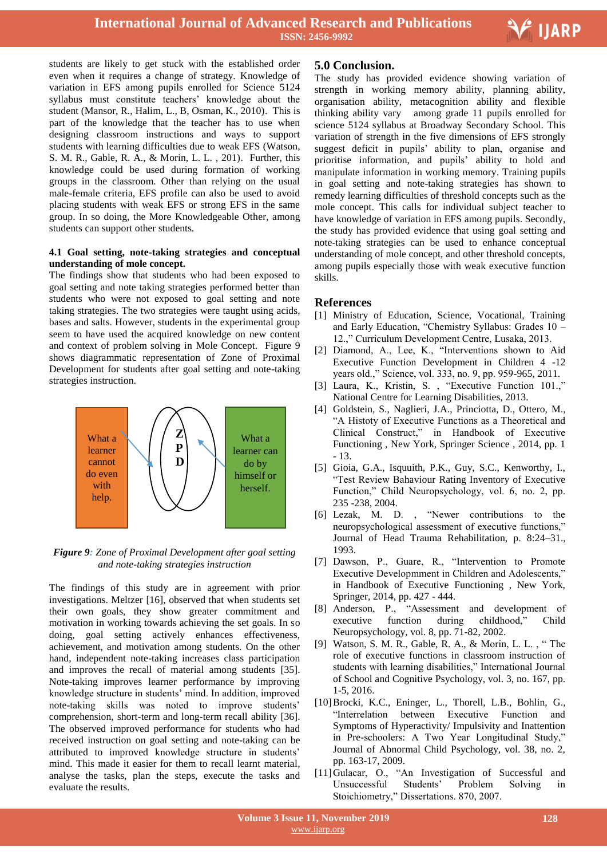

students are likely to get stuck with the established order even when it requires a change of strategy. Knowledge of variation in EFS among pupils enrolled for Science 5124 syllabus must constitute teachers" knowledge about the student (Mansor, R., Halim, L., B, Osman, K., 2010). This is part of the knowledge that the teacher has to use when designing classroom instructions and ways to support students with learning difficulties due to weak EFS (Watson, S. M. R., Gable, R. A., & Morin, L. L. , 201). Further, this knowledge could be used during formation of working groups in the classroom. Other than relying on the usual male-female criteria, EFS profile can also be used to avoid placing students with weak EFS or strong EFS in the same group. In so doing, the More Knowledgeable Other, among students can support other students.

# **4.1 Goal setting, note-taking strategies and conceptual understanding of mole concept.**

The findings show that students who had been exposed to goal setting and note taking strategies performed better than students who were not exposed to goal setting and note taking strategies. The two strategies were taught using acids, bases and salts. However, students in the experimental group seem to have used the acquired knowledge on new content and context of problem solving in Mole Concept. Figure 9 shows diagrammatic representation of Zone of Proximal Development for students after goal setting and note-taking strategies instruction.



*Figure 9: Zone of Proximal Development after goal setting and note-taking strategies instruction*

The findings of this study are in agreement with prior investigations. Meltzer [16], observed that when students set their own goals, they show greater commitment and motivation in working towards achieving the set goals. In so doing, goal setting actively enhances effectiveness, achievement, and motivation among students. On the other hand, independent note-taking increases class participation and improves the recall of material among students [35]. Note-taking improves learner performance by improving knowledge structure in students' mind. In addition, improved note-taking skills was noted to improve students" comprehension, short-term and long-term recall ability [36]. The observed improved performance for students who had received instruction on goal setting and note-taking can be attributed to improved knowledge structure in students' mind. This made it easier for them to recall learnt material, analyse the tasks, plan the steps, execute the tasks and evaluate the results.

# **5.0 Conclusion.**

The study has provided evidence showing variation of strength in working memory ability, planning ability, organisation ability, metacognition ability and flexible thinking ability vary among grade 11 pupils enrolled for science 5124 syllabus at Broadway Secondary School. This variation of strength in the five dimensions of EFS strongly suggest deficit in pupils' ability to plan, organise and prioritise information, and pupils" ability to hold and manipulate information in working memory. Training pupils in goal setting and note-taking strategies has shown to remedy learning difficulties of threshold concepts such as the mole concept. This calls for individual subject teacher to have knowledge of variation in EFS among pupils. Secondly, the study has provided evidence that using goal setting and note-taking strategies can be used to enhance conceptual understanding of mole concept, and other threshold concepts, among pupils especially those with weak executive function skills.

# **References**

- [1] Ministry of Education, Science, Vocational, Training and Early Education, "Chemistry Syllabus: Grades 10 – 12.," Curriculum Development Centre, Lusaka, 2013.
- [2] Diamond, A., Lee, K., "Interventions shown to Aid Executive Function Development in Children 4 -12 years old.," Science, vol. 333, no. 9, pp. 959-965, 2011.
- [3] Laura, K., Kristin, S. , "Executive Function 101.," National Centre for Learning Disabilities, 2013.
- [4] Goldstein, S., Naglieri, J.A., Princiotta, D., Ottero, M., "A Histoty of Executive Functions as a Theoretical and Clinical Construct," in Handbook of Executive Functioning , New York, Springer Science , 2014, pp. 1 - 13.
- [5] Gioia, G.A., Isquuith, P.K., Guy, S.C., Kenworthy, I., "Test Review Bahaviour Rating Inventory of Executive Function," Child Neuropsychology, vol. 6, no. 2, pp. 235 -238, 2004.
- [6] Lezak, M. D. , "Newer contributions to the neuropsychological assessment of executive functions," Journal of Head Trauma Rehabilitation, p. 8:24–31., 1993.
- [7] Dawson, P., Guare, R., "Intervention to Promote Executive Developmment in Children and Adolescents," in Handbook of Executive Functioning , New York, Springer, 2014, pp. 427 - 444.
- [8] Anderson, P., "Assessment and development of executive function during childhood," Child Neuropsychology, vol. 8, pp. 71-82, 2002.
- Watson, S. M. R., Gable, R. A., & Morin, L. L., "The role of executive functions in classroom instruction of students with learning disabilities," International Journal of School and Cognitive Psychology, vol. 3, no. 167, pp. 1-5, 2016.
- [10]Brocki, K.C., Eninger, L., Thorell, L.B., Bohlin, G., "Interrelation between Executive Function and Symptoms of Hyperactivity/ Impulsivity and Inattention in Pre-schoolers: A Two Year Longitudinal Study," Journal of Abnormal Child Psychology, vol. 38, no. 2, pp. 163-17, 2009.
- [11]Gulacar, O., "An Investigation of Successful and Unsuccessful Students" Problem Solving in Stoichiometry," Dissertations. 870, 2007.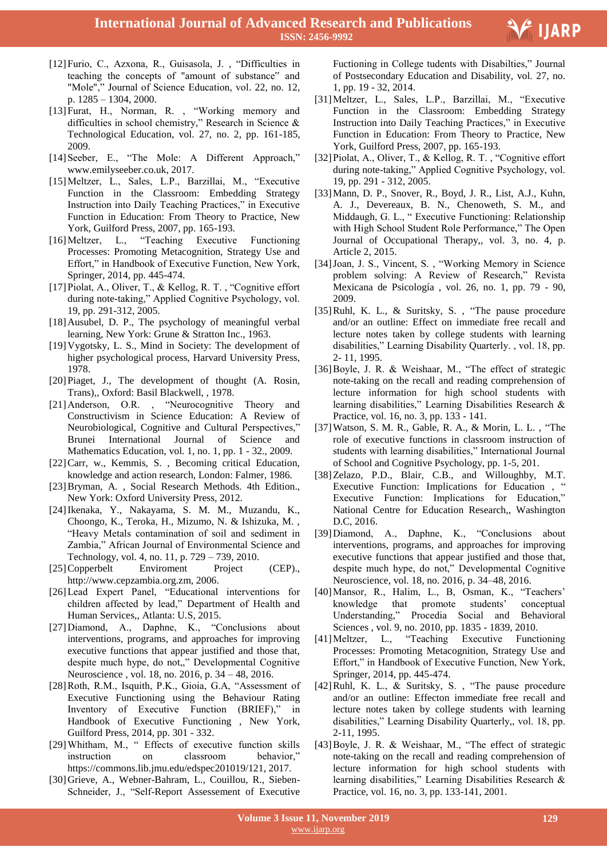

- [12]Furio, C., Azxona, R., Guisasola, J. , "Difficulties in teaching the concepts of "amount of substance" and "Mole"," Journal of Science Education, vol. 22, no. 12, p. 1285 – 1304, 2000.
- [13]Furat, H., Norman, R. , "Working memory and difficulties in school chemistry," Research in Science & Technological Education, vol. 27, no. 2, pp. 161-185, 2009.
- [14]Seeber, E., "The Mole: A Different Approach," www.emilyseeber.co.uk, 2017.
- [15]Meltzer, L., Sales, L.P., Barzillai, M., "Executive Function in the Classroom: Embedding Strategy Instruction into Daily Teaching Practices," in Executive Function in Education: From Theory to Practice, New York, Guilford Press, 2007, pp. 165-193.
- [16]Meltzer, L., "Teaching Executive Functioning Processes: Promoting Metacognition, Strategy Use and Effort," in Handbook of Executive Function, New York, Springer, 2014, pp. 445-474.
- [17]Piolat, A., Oliver, T., & Kellog, R. T. , "Cognitive effort during note-taking," Applied Cognitive Psychology, vol. 19, pp. 291-312, 2005.
- [18]Ausubel, D. P., The psychology of meaningful verbal learning, New York: Grune & Stratton Inc., 1963.
- [19]Vygotsky, L. S., Mind in Society: The development of higher psychological process, Harvard University Press, 1978.
- [20] Piaget, J., The development of thought (A. Rosin, Trans),, Oxford: Basil Blackwell, , 1978.
- [21]Anderson, O.R. , "Neurocognitive Theory and Constructivism in Science Education: A Review of Neurobiological, Cognitive and Cultural Perspectives," Brunei International Journal of Science and Mathematics Education, vol. 1, no. 1, pp. 1 - 32., 2009.
- [22]Carr, w., Kemmis, S. , Becoming critical Education, knowledge and action research, London: Falmer, 1986.
- [23]Bryman, A. , Social Research Methods. 4th Edition., New York: Oxford University Press, 2012.
- [24]Ikenaka, Y., Nakayama, S. M. M., Muzandu, K., Choongo, K., Teroka, H., Mizumo, N. & Ishizuka, M. , "Heavy Metals contamination of soil and sediment in Zambia," African Journal of Environmental Science and Technology, vol. 4, no. 11, p. 729 – 739, 2010.
- [25]Copperbelt Enviroment Project (CEP)., http://www.cepzambia.org.zm, 2006.
- [26]Lead Expert Panel, "Educational interventions for children affected by lead," Department of Health and Human Services,, Atlanta: U.S, 2015.
- [27]Diamond, A., Daphne, K., "Conclusions about interventions, programs, and approaches for improving executive functions that appear justified and those that, despite much hype, do not,," Developmental Cognitive Neuroscience , vol. 18, no. 2016, p. 34 – 48, 2016.
- [28]Roth, R.M., Isquith, P.K., Gioia, G.A, "Assessment of Executive Functioning using the Behaviour Rating Inventory of Executive Function (BRIEF)," in Handbook of Executive Functioning , New York, Guilford Press, 2014, pp. 301 - 332.
- [29]Whitham, M., " Effects of executive function skills instruction on classroom behavior," https://commons.lib.jmu.edu/edspec201019/121, 2017.
- [30]Grieve, A., Webner-Bahram, L., Couillou, R., Sieben-Schneider, J., "Self-Report Assessement of Executive

 Fuctioning in College tudents with Disabilties," Journal of Postsecondary Education and Disability, vol. 27, no. 1, pp. 19 - 32, 2014.

- [31]Meltzer, L., Sales, L.P., Barzillai, M., "Executive Function in the Classroom: Embedding Strategy Instruction into Daily Teaching Practices," in Executive Function in Education: From Theory to Practice, New York, Guilford Press, 2007, pp. 165-193.
- [32]Piolat, A., Oliver, T., & Kellog, R. T. , "Cognitive effort during note-taking," Applied Cognitive Psychology, vol. 19, pp. 291 - 312, 2005.
- [33]Mann, D. P., Snover, R., Boyd, J. R., List, A.J., Kuhn, A. J., Devereaux, B. N., Chenoweth, S. M., and Middaugh, G. L., " Executive Functioning: Relationship with High School Student Role Performance," The Open Journal of Occupational Therapy,, vol. 3, no. 4, p. Article 2, 2015.
- [34]Joan, J. S., Vincent, S. , "Working Memory in Science problem solving: A Review of Research," Revista Mexicana de Psicología , vol. 26, no. 1, pp. 79 - 90, 2009.
- [35]Ruhl, K. L., & Suritsky, S. , "The pause procedure and/or an outline: Effect on immediate free recall and lecture notes taken by college students with learning disabilities," Learning Disability Quarterly. , vol. 18, pp. 2- 11, 1995.
- [36]Boyle, J. R. & Weishaar, M., "The effect of strategic note-taking on the recall and reading comprehension of lecture information for high school students with learning disabilities," Learning Disabilities Research & Practice, vol. 16, no. 3, pp. 133 - 141.
- [37]Watson, S. M. R., Gable, R. A., & Morin, L. L. , "The role of executive functions in classroom instruction of students with learning disabilities," International Journal of School and Cognitive Psychology, pp. 1-5, 201.
- [38]Zelazo, P.D., Blair, C.B., and Willoughby, M.T. Executive Function: Implications for Education, " Executive Function: Implications for Education," National Centre for Education Research,, Washington D.C, 2016.
- [39]Diamond, A., Daphne, K., "Conclusions about interventions, programs, and approaches for improving executive functions that appear justified and those that, despite much hype, do not," Developmental Cognitive Neuroscience, vol. 18, no. 2016, p. 34–48, 2016.
- [40]Mansor, R., Halim, L., B, Osman, K., "Teachers" knowledge that promote students' conceptual Understanding," Procedia Social and Behavioral Sciences , vol. 9, no. 2010, pp. 1835 - 1839, 2010.
- [41]Meltzer, L., "Teaching Executive Functioning Processes: Promoting Metacognition, Strategy Use and Effort," in Handbook of Executive Function, New York, Springer, 2014, pp. 445-474.
- [42]Ruhl, K. L., & Suritsky, S. , "The pause procedure and/or an outline: Effecton immediate free recall and lecture notes taken by college students with learning disabilities," Learning Disability Quarterly,, vol. 18, pp. 2-11, 1995.
- [43]Boyle, J. R. & Weishaar, M., "The effect of strategic note-taking on the recall and reading comprehension of lecture information for high school students with learning disabilities," Learning Disabilities Research & Practice, vol. 16, no. 3, pp. 133-141, 2001.